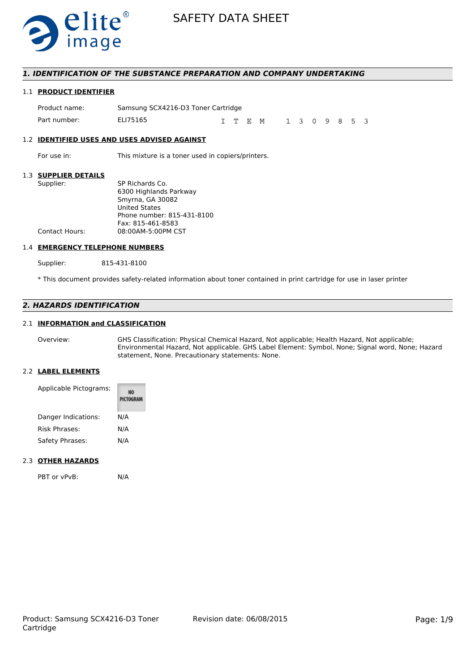

## *1. IDENTIFICATION OF THE SUBSTANCE PREPARATION AND COMPANY UNDERTAKING*

## 1.1 **PRODUCT IDENTIFIER**

| Product name: | Samsung SCX4216-D3 Toner Cartridge |  |  |         |               |  |  |  |
|---------------|------------------------------------|--|--|---------|---------------|--|--|--|
| Part number:  | ELI75165                           |  |  | I T E M | 1 3 0 9 8 5 3 |  |  |  |

#### 1.2 **IDENTIFIED USES AND USES ADVISED AGAINST**

For use in: This mixture is a toner used in copiers/printers.

## 1.3 **SUPPLIER DETAILS**

| SUFFLIER DETAILS      |                            |
|-----------------------|----------------------------|
| Supplier:             | SP Richards Co.            |
|                       | 6300 Highlands Parkway     |
|                       | Smyrna, GA 30082           |
|                       | <b>United States</b>       |
|                       | Phone number: 815-431-8100 |
|                       | Fax: 815-461-8583          |
| <b>Contact Hours:</b> | 08:00AM-5:00PM CST         |
|                       |                            |

## 1.4 **EMERGENCY TELEPHONE NUMBERS**

Supplier: 815-431-8100

\* This document provides safety-related information about toner contained in print cartridge for use in laser printer

## *2. HAZARDS IDENTIFICATION*

#### 2.1 **INFORMATION and CLASSIFICATION**

Overview: GHS Classification: Physical Chemical Hazard, Not applicable; Health Hazard, Not applicable; Environmental Hazard, Not applicable. GHS Label Element: Symbol, None; Signal word, None; Hazard statement, None. Precautionary statements: None.

#### 2.2 **LABEL ELEMENTS**

| Applicable Pictograms: | NO<br>PICTOGRAM |
|------------------------|-----------------|
| Danger Indications:    | N/A             |
| <b>Risk Phrases:</b>   | N/A             |
| Safety Phrases:        | N/A             |

### 2.3 **OTHER HAZARDS**

PBT or vPvB: N/A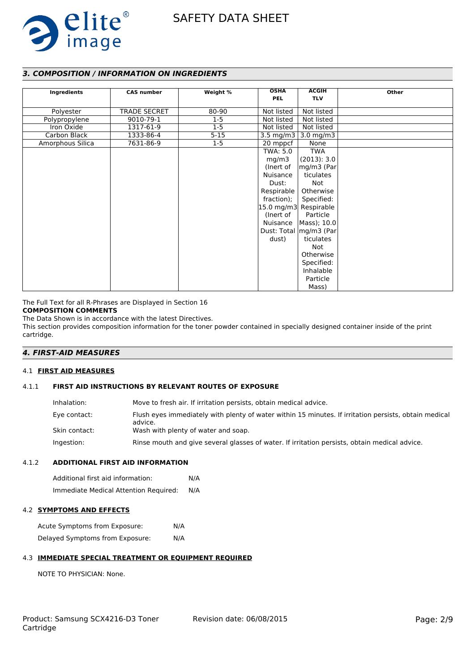

## *3. COMPOSITION / INFORMATION ON INGREDIENTS*

|                  | <b>CAS number</b>   |          | <b>OSHA</b>           | <b>ACGIH</b>                                  | Other |
|------------------|---------------------|----------|-----------------------|-----------------------------------------------|-------|
| Ingredients      |                     | Weight % | <b>PEL</b>            | <b>TLV</b>                                    |       |
|                  |                     |          |                       |                                               |       |
| Polyester        | <b>TRADE SECRET</b> | 80-90    | Not listed            | Not listed                                    |       |
| Polypropylene    | 9010-79-1           | $1 - 5$  | Not listed            | Not listed                                    |       |
| Iron Oxide       | 1317-61-9           | $1 - 5$  | Not listed            | Not listed                                    |       |
| Carbon Black     | 1333-86-4           | $5 - 15$ |                       | 3.5 mg/m3 $\mid$ 3.0 mg/m3                    |       |
| Amorphous Silica | 7631-86-9           | $1-5$    | 20 mppcf              | None                                          |       |
|                  |                     |          | TWA: 5.0              | <b>TWA</b>                                    |       |
|                  |                     |          | mg/m3                 | (2013): 3.0                                   |       |
|                  |                     |          | (Inert of             | $\left \right.\right.$ mg/m $3$ (Par $\left $ |       |
|                  |                     |          | Nuisance              | ticulates                                     |       |
|                  |                     |          | Dust:                 | Not                                           |       |
|                  |                     |          | Respirable            | Otherwise                                     |       |
|                  |                     |          | fraction);            | Specified:                                    |       |
|                  |                     |          | 15.0 mg/m3 Respirable |                                               |       |
|                  |                     |          | (Inert of             | Particle                                      |       |
|                  |                     |          | Nuisance              | $ Mass\rangle$ ; 10.0                         |       |
|                  |                     |          |                       | Dust: Total   mg/m3 (Par                      |       |
|                  |                     |          | dust)                 | ticulates                                     |       |
|                  |                     |          |                       | Not                                           |       |
|                  |                     |          |                       | Otherwise                                     |       |
|                  |                     |          |                       | Specified:                                    |       |
|                  |                     |          |                       | Inhalable                                     |       |
|                  |                     |          |                       | Particle                                      |       |
|                  |                     |          |                       | Mass)                                         |       |

The Full Text for all R-Phrases are Displayed in Section 16

#### **COMPOSITION COMMENTS**

The Data Shown is in accordance with the latest Directives.

This section provides composition information for the toner powder contained in specially designed container inside of the print cartridge.

## *4. FIRST-AID MEASURES*

#### 4.1 **FIRST AID MEASURES**

#### 4.1.1 **FIRST AID INSTRUCTIONS BY RELEVANT ROUTES OF EXPOSURE**

| Inhalation:   | Move to fresh air. If irritation persists, obtain medical advice.                                                |
|---------------|------------------------------------------------------------------------------------------------------------------|
| Eye contact:  | Flush eyes immediately with plenty of water within 15 minutes. If irritation persists, obtain medical<br>advice. |
| Skin contact: | Wash with plenty of water and soap.                                                                              |
| Ingestion:    | Rinse mouth and give several glasses of water. If irritation persists, obtain medical advice.                    |

#### 4.1.2 **ADDITIONAL FIRST AID INFORMATION**

Additional first aid information: N/A Immediate Medical Attention Required: N/A

## 4.2 **SYMPTOMS AND EFFECTS**

Acute Symptoms from Exposure: N/A Delayed Symptoms from Exposure: N/A

## 4.3 **IMMEDIATE SPECIAL TREATMENT OR EQUIPMENT REQUIRED**

NOTE TO PHYSICIAN: None.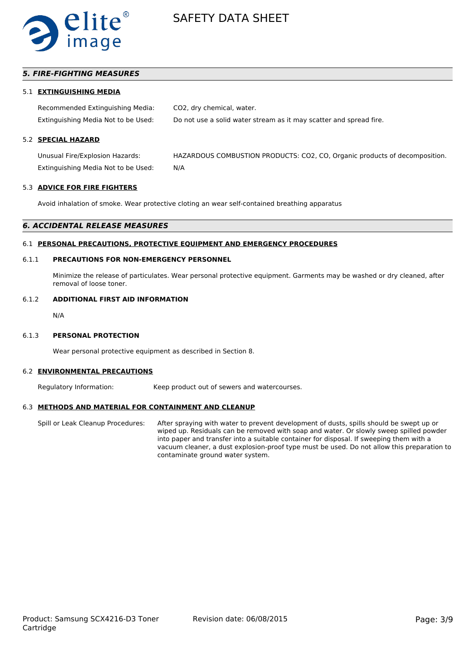

## *5. FIRE-FIGHTING MEASURES*

#### 5.1 **EXTINGUISHING MEDIA**

Recommended Extinguishing Media: CO2, dry chemical, water. Extinguishing Media Not to be Used: Do not use a solid water stream as it may scatter and spread fire.

## 5.2 **SPECIAL HAZARD**

Unusual Fire/Explosion Hazards: HAZARDOUS COMBUSTION PRODUCTS: CO2, CO, Organic products of decomposition. Extinguishing Media Not to be Used: N/A

#### 5.3 **ADVICE FOR FIRE FIGHTERS**

Avoid inhalation of smoke. Wear protective cloting an wear self-contained breathing apparatus

#### *6. ACCIDENTAL RELEASE MEASURES*

#### 6.1 **PERSONAL PRECAUTIONS, PROTECTIVE EQUIPMENT AND EMERGENCY PROCEDURES**

### 6.1.1 **PRECAUTIONS FOR NON-EMERGENCY PERSONNEL**

Minimize the release of particulates. Wear personal protective equipment. Garments may be washed or dry cleaned, after removal of loose toner.

#### 6.1.2 **ADDITIONAL FIRST AID INFORMATION**

N/A

#### 6.1.3 **PERSONAL PROTECTION**

Wear personal protective equipment as described in Section 8.

#### 6.2 **ENVIRONMENTAL PRECAUTIONS**

Regulatory Information: Keep product out of sewers and watercourses.

#### 6.3 **METHODS AND MATERIAL FOR CONTAINMENT AND CLEANUP**

Spill or Leak Cleanup Procedures: After spraying with water to prevent development of dusts, spills should be swept up or wiped up. Residuals can be removed with soap and water. Or slowly sweep spilled powder into paper and transfer into a suitable container for disposal. If sweeping them with a vacuum cleaner, a dust explosion-proof type must be used. Do not allow this preparation to contaminate ground water system.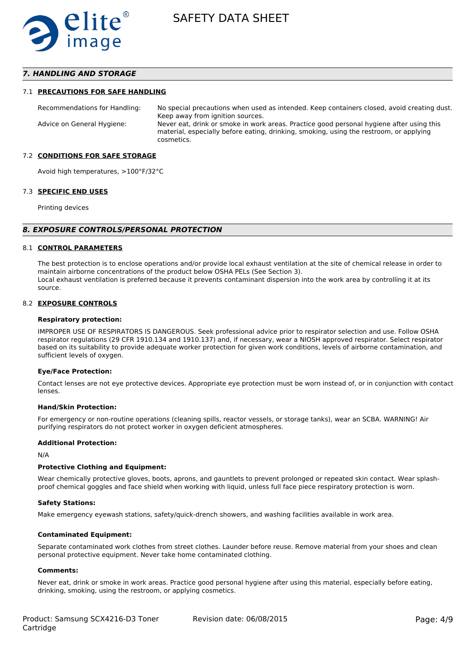

## *7. HANDLING AND STORAGE*

#### 7.1 **PRECAUTIONS FOR SAFE HANDLING**

Recommendations for Handling: No special precautions when used as intended. Keep containers closed, avoid creating dust. Keep away from ignition sources. Advice on General Hygiene: Never eat, drink or smoke in work areas. Practice good personal hygiene after using this material, especially before eating, drinking, smoking, using the restroom, or applying cosmetics.

#### 7.2 **CONDITIONS FOR SAFE STORAGE**

Avoid high temperatures, >100°F/32°C

#### 7.3 **SPECIFIC END USES**

Printing devices

#### *8. EXPOSURE CONTROLS/PERSONAL PROTECTION*

#### 8.1 **CONTROL PARAMETERS**

The best protection is to enclose operations and/or provide local exhaust ventilation at the site of chemical release in order to maintain airborne concentrations of the product below OSHA PELs (See Section 3). Local exhaust ventilation is preferred because it prevents contaminant dispersion into the work area by controlling it at its source.

#### 8.2 **EXPOSURE CONTROLS**

#### **Respiratory protection:**

IMPROPER USE OF RESPIRATORS IS DANGEROUS. Seek professional advice prior to respirator selection and use. Follow OSHA respirator regulations (29 CFR 1910.134 and 1910.137) and, if necessary, wear a NIOSH approved respirator. Select respirator based on its suitability to provide adequate worker protection for given work conditions, levels of airborne contamination, and sufficient levels of oxygen.

#### **Eye/Face Protection:**

Contact lenses are not eye protective devices. Appropriate eye protection must be worn instead of, or in conjunction with contact lenses.

#### **Hand/Skin Protection:**

For emergency or non-routine operations (cleaning spills, reactor vessels, or storage tanks), wear an SCBA. WARNING! Air purifying respirators do not protect worker in oxygen deficient atmospheres.

#### **Additional Protection:**

N/A

#### **Protective Clothing and Equipment:**

Wear chemically protective gloves, boots, aprons, and gauntlets to prevent prolonged or repeated skin contact. Wear splashproof chemical goggles and face shield when working with liquid, unless full face piece respiratory protection is worn.

#### **Safety Stations:**

Make emergency eyewash stations, safety/quick-drench showers, and washing facilities available in work area.

#### **Contaminated Equipment:**

Separate contaminated work clothes from street clothes. Launder before reuse. Remove material from your shoes and clean personal protective equipment. Never take home contaminated clothing.

#### **Comments:**

Never eat, drink or smoke in work areas. Practice good personal hygiene after using this material, especially before eating, drinking, smoking, using the restroom, or applying cosmetics.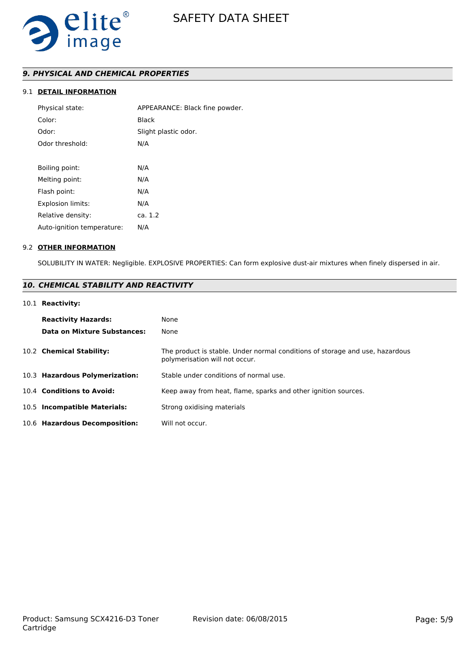

## *9. PHYSICAL AND CHEMICAL PROPERTIES*

## 9.1 **DETAIL INFORMATION**

| APPEARANCE: Black fine powder. |  |  |  |  |
|--------------------------------|--|--|--|--|
| Black                          |  |  |  |  |
| Slight plastic odor.           |  |  |  |  |
| N/A                            |  |  |  |  |
|                                |  |  |  |  |
| N/A                            |  |  |  |  |
| N/A                            |  |  |  |  |
| N/A                            |  |  |  |  |
| N/A                            |  |  |  |  |
| ca. 1.2                        |  |  |  |  |
| N/A                            |  |  |  |  |
|                                |  |  |  |  |

#### 9.2 **OTHER INFORMATION**

SOLUBILITY IN WATER: Negligible. EXPLOSIVE PROPERTIES: Can form explosive dust-air mixtures when finely dispersed in air.

## *10. CHEMICAL STABILITY AND REACTIVITY*

## 10.1 **Reactivity:**

| <b>Reactivity Hazards:</b><br>Data on Mixture Substances: | None<br>None                                                                                                   |
|-----------------------------------------------------------|----------------------------------------------------------------------------------------------------------------|
| 10.2 Chemical Stability:                                  | The product is stable. Under normal conditions of storage and use, hazardous<br>polymerisation will not occur. |
| 10.3 Hazardous Polymerization:                            | Stable under conditions of normal use.                                                                         |
| 10.4 Conditions to Avoid:                                 | Keep away from heat, flame, sparks and other ignition sources.                                                 |
| 10.5 Incompatible Materials:                              | Strong oxidising materials                                                                                     |
| 10.6 Hazardous Decomposition:                             | Will not occur.                                                                                                |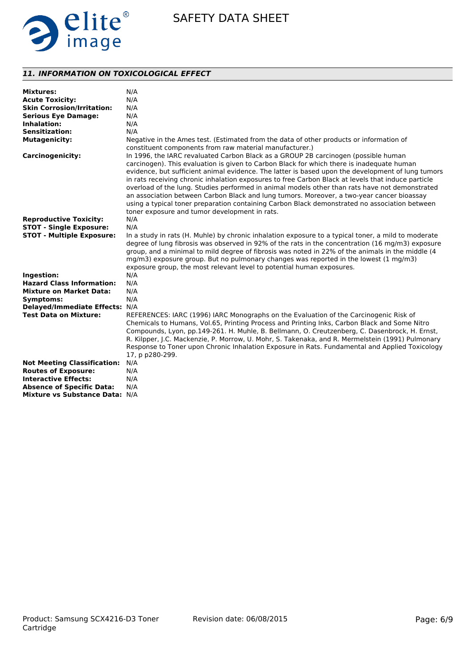

## *11. INFORMATION ON TOXICOLOGICAL EFFECT*

| <b>Mixtures:</b><br><b>Acute Toxicity:</b> | N/A<br>N/A                                                                                                                                                                                                                                                                                                                                                                                                                                                                                                                                                                                                                                                                                 |
|--------------------------------------------|--------------------------------------------------------------------------------------------------------------------------------------------------------------------------------------------------------------------------------------------------------------------------------------------------------------------------------------------------------------------------------------------------------------------------------------------------------------------------------------------------------------------------------------------------------------------------------------------------------------------------------------------------------------------------------------------|
| <b>Skin Corrosion/Irritation:</b>          | N/A                                                                                                                                                                                                                                                                                                                                                                                                                                                                                                                                                                                                                                                                                        |
| <b>Serious Eye Damage:</b>                 | N/A                                                                                                                                                                                                                                                                                                                                                                                                                                                                                                                                                                                                                                                                                        |
| <b>Inhalation:</b>                         | N/A                                                                                                                                                                                                                                                                                                                                                                                                                                                                                                                                                                                                                                                                                        |
| <b>Sensitization:</b>                      | N/A                                                                                                                                                                                                                                                                                                                                                                                                                                                                                                                                                                                                                                                                                        |
| <b>Mutagenicity:</b>                       | Negative in the Ames test. (Estimated from the data of other products or information of                                                                                                                                                                                                                                                                                                                                                                                                                                                                                                                                                                                                    |
|                                            | constituent components from raw material manufacturer.)                                                                                                                                                                                                                                                                                                                                                                                                                                                                                                                                                                                                                                    |
| <b>Carcinogenicity:</b>                    | In 1996, the IARC revaluated Carbon Black as a GROUP 2B carcinogen (possible human<br>carcinogen). This evaluation is given to Carbon Black for which there is inadequate human<br>evidence, but sufficient animal evidence. The latter is based upon the development of lung tumors<br>in rats receiving chronic inhalation exposures to free Carbon Black at levels that induce particle<br>overload of the lung. Studies performed in animal models other than rats have not demonstrated<br>an association between Carbon Black and lung tumors. Moreover, a two-year cancer bioassay<br>using a typical toner preparation containing Carbon Black demonstrated no association between |
|                                            | toner exposure and tumor development in rats.                                                                                                                                                                                                                                                                                                                                                                                                                                                                                                                                                                                                                                              |
| <b>Reproductive Toxicity:</b>              | N/A                                                                                                                                                                                                                                                                                                                                                                                                                                                                                                                                                                                                                                                                                        |
| <b>STOT - Single Exposure:</b>             | N/A                                                                                                                                                                                                                                                                                                                                                                                                                                                                                                                                                                                                                                                                                        |
| <b>STOT - Multiple Exposure:</b>           | In a study in rats (H. Muhle) by chronic inhalation exposure to a typical toner, a mild to moderate<br>degree of lung fibrosis was observed in 92% of the rats in the concentration (16 mg/m3) exposure<br>group, and a minimal to mild degree of fibrosis was noted in 22% of the animals in the middle (4<br>mg/m3) exposure group. But no pulmonary changes was reported in the lowest (1 mg/m3)<br>exposure group, the most relevant level to potential human exposures.                                                                                                                                                                                                               |
| Ingestion:                                 | N/A                                                                                                                                                                                                                                                                                                                                                                                                                                                                                                                                                                                                                                                                                        |
| <b>Hazard Class Information:</b>           | N/A                                                                                                                                                                                                                                                                                                                                                                                                                                                                                                                                                                                                                                                                                        |
| <b>Mixture on Market Data:</b>             | N/A                                                                                                                                                                                                                                                                                                                                                                                                                                                                                                                                                                                                                                                                                        |
| Symptoms:                                  | N/A                                                                                                                                                                                                                                                                                                                                                                                                                                                                                                                                                                                                                                                                                        |
| Delayed/Immediate Effects: N/A             |                                                                                                                                                                                                                                                                                                                                                                                                                                                                                                                                                                                                                                                                                            |
| <b>Test Data on Mixture:</b>               | REFERENCES: IARC (1996) IARC Monographs on the Evaluation of the Carcinogenic Risk of<br>Chemicals to Humans, Vol.65, Printing Process and Printing Inks, Carbon Black and Some Nitro<br>Compounds, Lyon, pp.149-261. H. Muhle, B. Bellmann, O. Creutzenberg, C. Dasenbrock, H. Ernst,<br>R. Kilpper, J.C. Mackenzie, P. Morrow, U. Mohr, S. Takenaka, and R. Mermelstein (1991) Pulmonary<br>Response to Toner upon Chronic Inhalation Exposure in Rats. Fundamental and Applied Toxicology<br>17, p p280-299.                                                                                                                                                                            |
| <b>Not Meeting Classification:</b>         | N/A                                                                                                                                                                                                                                                                                                                                                                                                                                                                                                                                                                                                                                                                                        |
| <b>Routes of Exposure:</b>                 | N/A                                                                                                                                                                                                                                                                                                                                                                                                                                                                                                                                                                                                                                                                                        |
| <b>Interactive Effects:</b>                | N/A                                                                                                                                                                                                                                                                                                                                                                                                                                                                                                                                                                                                                                                                                        |
| <b>Absence of Specific Data:</b>           | N/A                                                                                                                                                                                                                                                                                                                                                                                                                                                                                                                                                                                                                                                                                        |
| Mixture vs Substance Data: N/A             |                                                                                                                                                                                                                                                                                                                                                                                                                                                                                                                                                                                                                                                                                            |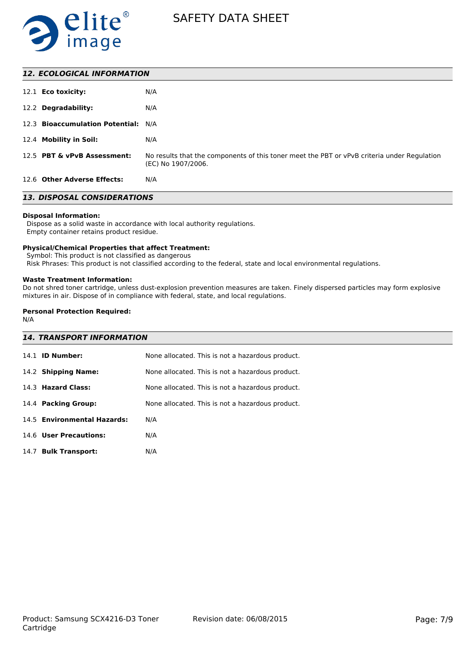

| 12.1 <b>Eco toxicity:</b>           | N/A                                                                                                               |
|-------------------------------------|-------------------------------------------------------------------------------------------------------------------|
| 12.2 Degradability:                 | N/A                                                                                                               |
| 12.3 Bioaccumulation Potential: N/A |                                                                                                                   |
| 12.4 Mobility in Soil:              | N/A                                                                                                               |
| 12.5 PBT & vPvB Assessment:         | No results that the components of this toner meet the PBT or vPvB criteria under Regulation<br>(EC) No 1907/2006. |
| 12.6 Other Adverse Effects:         | N/A                                                                                                               |

## *13. DISPOSAL CONSIDERATIONS*

#### **Disposal Information:**

 Dispose as a solid waste in accordance with local authority regulations. Empty container retains product residue.

#### **Physical/Chemical Properties that affect Treatment:**

Symbol: This product is not classified as dangerous

Risk Phrases: This product is not classified according to the federal, state and local environmental regulations.

#### **Waste Treatment Information:**

Do not shred toner cartridge, unless dust-explosion prevention measures are taken. Finely dispersed particles may form explosive mixtures in air. Dispose of in compliance with federal, state, and local regulations.

## **Personal Protection Required:**

N/A

# *14. TRANSPORT INFORMATION*

| <b>ID Number:</b><br>14.1      | None allocated. This is not a hazardous product. |
|--------------------------------|--------------------------------------------------|
| 14.2 Shipping Name:            | None allocated. This is not a hazardous product. |
| 14.3 Hazard Class:             | None allocated. This is not a hazardous product. |
| 14.4 Packing Group:            | None allocated. This is not a hazardous product. |
| 14.5 Environmental Hazards:    | N/A                                              |
| 14.6 User Precautions:         | N/A                                              |
| <b>Bulk Transport:</b><br>14.7 | N/A                                              |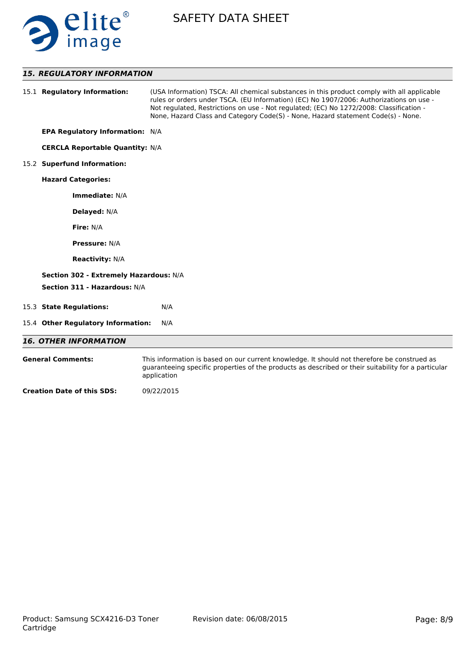

## *15. REGULATORY INFORMATION*

|                                   | 15.1 Regulatory Information:           | (USA Information) TSCA: All chemical substances in this product comply with all applicable<br>rules or orders under TSCA. (EU Information) (EC) No 1907/2006: Authorizations on use -<br>Not regulated, Restrictions on use - Not regulated; (EC) No 1272/2008: Classification -<br>None, Hazard Class and Category Code(S) - None, Hazard statement Code(s) - None. |  |  |  |
|-----------------------------------|----------------------------------------|----------------------------------------------------------------------------------------------------------------------------------------------------------------------------------------------------------------------------------------------------------------------------------------------------------------------------------------------------------------------|--|--|--|
|                                   | <b>EPA Regulatory Information: N/A</b> |                                                                                                                                                                                                                                                                                                                                                                      |  |  |  |
|                                   | <b>CERCLA Reportable Quantity: N/A</b> |                                                                                                                                                                                                                                                                                                                                                                      |  |  |  |
|                                   | 15.2 Superfund Information:            |                                                                                                                                                                                                                                                                                                                                                                      |  |  |  |
|                                   | <b>Hazard Categories:</b>              |                                                                                                                                                                                                                                                                                                                                                                      |  |  |  |
|                                   | Immediate: N/A                         |                                                                                                                                                                                                                                                                                                                                                                      |  |  |  |
|                                   | Delayed: N/A                           |                                                                                                                                                                                                                                                                                                                                                                      |  |  |  |
|                                   | Fire: N/A                              |                                                                                                                                                                                                                                                                                                                                                                      |  |  |  |
|                                   | <b>Pressure: N/A</b>                   |                                                                                                                                                                                                                                                                                                                                                                      |  |  |  |
|                                   | <b>Reactivity: N/A</b>                 |                                                                                                                                                                                                                                                                                                                                                                      |  |  |  |
|                                   | Section 302 - Extremely Hazardous: N/A |                                                                                                                                                                                                                                                                                                                                                                      |  |  |  |
|                                   | Section 311 - Hazardous: N/A           |                                                                                                                                                                                                                                                                                                                                                                      |  |  |  |
|                                   | 15.3 State Regulations:                | N/A                                                                                                                                                                                                                                                                                                                                                                  |  |  |  |
|                                   | 15.4 Other Regulatory Information:     | N/A                                                                                                                                                                                                                                                                                                                                                                  |  |  |  |
|                                   | <b>16. OTHER INFORMATION</b>           |                                                                                                                                                                                                                                                                                                                                                                      |  |  |  |
|                                   | <b>General Comments:</b>               | This information is based on our current knowledge. It should not therefore be construed as<br>quaranteeing specific properties of the products as described or their suitability for a particular<br>application                                                                                                                                                    |  |  |  |
| <b>Creation Date of this SDS:</b> |                                        | 09/22/2015                                                                                                                                                                                                                                                                                                                                                           |  |  |  |